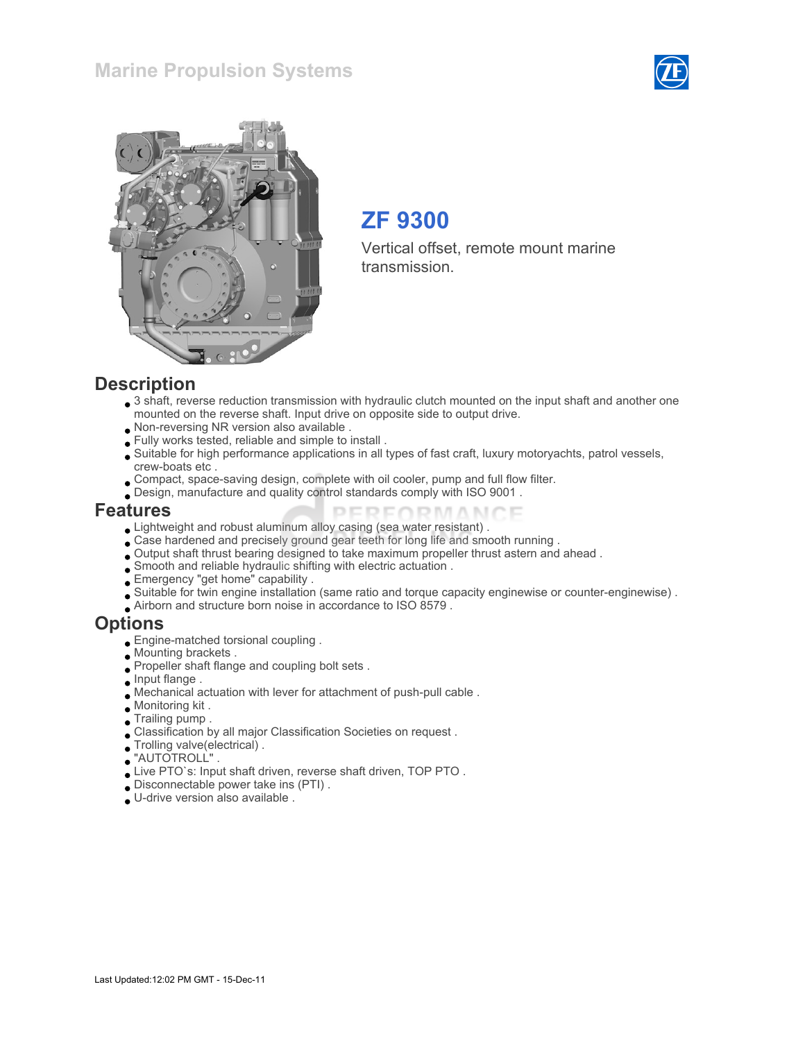## Marine Propulsion Systems





# ZF 9300

Vertical offset, remote mount marine transmission.

#### **Description**

- 3 shaft, reverse reduction transmission with hydraulic clutch mounted on the input shaft and another one mounted on the reverse shaft. Input drive on opposite side to output drive.
- Non-reversing NR version also available .
- Fully works tested, reliable and simple to install .
- Suitable for high performance applications in all types of fast craft, luxury motoryachts, patrol vessels, crew-boats etc .
- Compact, space-saving design, complete with oil cooler, pump and full flow filter.
- Design, manufacture and quality control standards comply with ISO 9001 .

#### Features

- Lightweight and robust aluminum alloy casing (sea water resistant) .
- Case hardened and precisely ground gear teeth for long life and smooth running .
- Output shaft thrust bearing designed to take maximum propeller thrust astern and ahead .
- Smooth and reliable hydraulic shifting with electric actuation .
- Emergency "get home" capability .
- Suitable for twin engine installation (same ratio and torque capacity enginewise or counter-enginewise) .

PERFORMANCE

Airborn and structure born noise in accordance to ISO 8579 .

#### Options

- Engine-matched torsional coupling .
- Mounting brackets .
- Propeller shaft flange and coupling bolt sets .
- **Input flange**.
- Mechanical actuation with lever for attachment of push-pull cable .
- Monitoring kit .
- Trailing pump .
- Classification by all major Classification Societies on request .
- Trolling valve(electrical) .
- "AUTOTROLL" .
- Live PTO`s: Input shaft driven, reverse shaft driven, TOP PTO .
- Disconnectable power take ins (PTI) .
- U-drive version also available .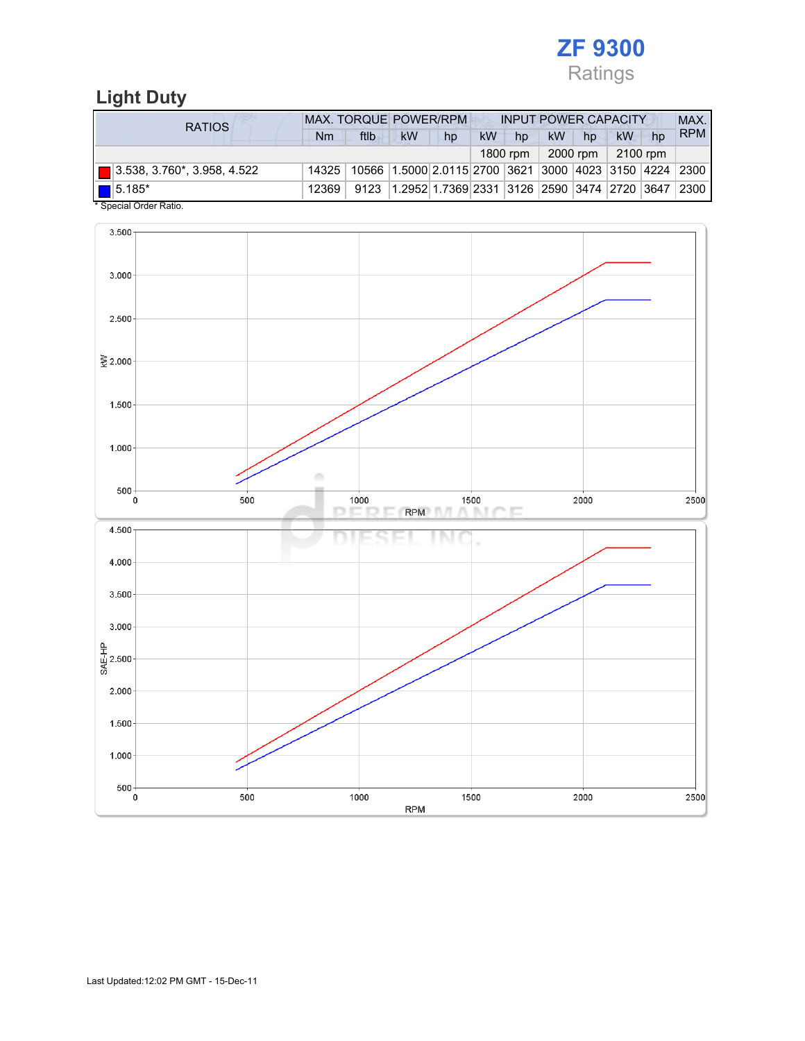

## Light Duty

| <b>RATIOS</b>                           | MAX. TORQUE POWER/RPM<br><b>INPUT POWER CAPACITY</b> |      |                                                        |    |           |          |           |          |          | MAX. |            |
|-----------------------------------------|------------------------------------------------------|------|--------------------------------------------------------|----|-----------|----------|-----------|----------|----------|------|------------|
|                                         | Nm                                                   | ftlb | kW                                                     | hp | <b>kW</b> | hp       | <b>kW</b> | hp       | kW       | hp   | <b>RPM</b> |
|                                         |                                                      |      |                                                        |    |           | 1800 rpm |           | 2000 rpm | 2100 rpm |      |            |
| $\boxed{ }$ 3.538, 3.760*, 3.958, 4.522 | 14325                                                |      | 10566 1.5000 2.0115 2700 3621 3000 4023 3150 4224 2300 |    |           |          |           |          |          |      |            |
| $\boxed{\blacksquare}$ 5.185*           | 12369                                                | 9123 | 1.2952 1.7369 2331 3126 2590 3474 2720 3647            |    |           |          |           |          |          |      | 2300       |
| * Special Order Ratio.                  |                                                      |      |                                                        |    |           |          |           |          |          |      |            |

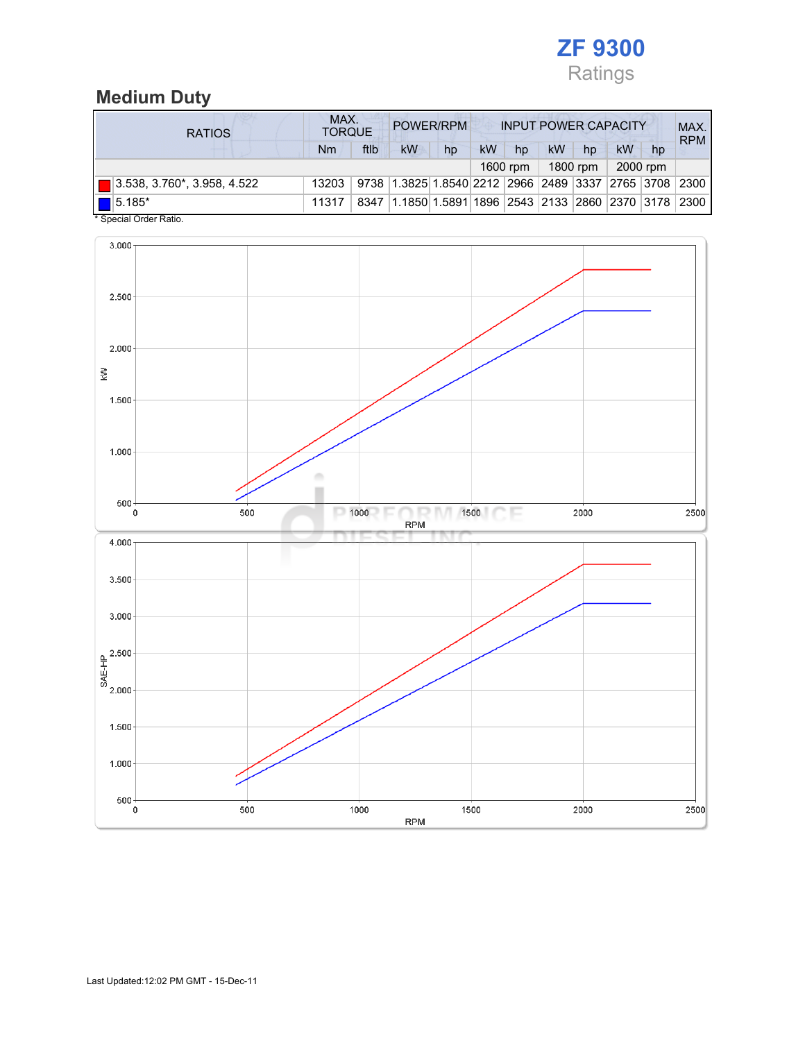

## Medium Duty

| <b>RATIOS</b>                 | MAX.<br>POWER/RPM<br><b>INPUT POWER CAPACITY</b><br><b>TORQUE</b> |      |                                                       |                                                  |           |          |    |          |    |          | MAX.<br><b>RPM</b> |
|-------------------------------|-------------------------------------------------------------------|------|-------------------------------------------------------|--------------------------------------------------|-----------|----------|----|----------|----|----------|--------------------|
|                               | Nm                                                                | ftlb | kW                                                    | hp                                               | <b>kW</b> | hp       | kW | hp       | kW | hp       |                    |
|                               |                                                                   |      |                                                       |                                                  |           | 1600 rpm |    | 1800 rpm |    | 2000 rpm |                    |
| █▌3.538, 3.760*, 3.958, 4.522 | 13203                                                             |      | 9738 1.3825 1.8540 2212 2966 2489 3337 2765 3708 2300 |                                                  |           |          |    |          |    |          |                    |
| $\blacksquare$ 5.185*<br>.    | 11317                                                             | 8347 |                                                       | 1.1850 1.5891 1896 2543 2133 2860 2370 3178 2300 |           |          |    |          |    |          |                    |

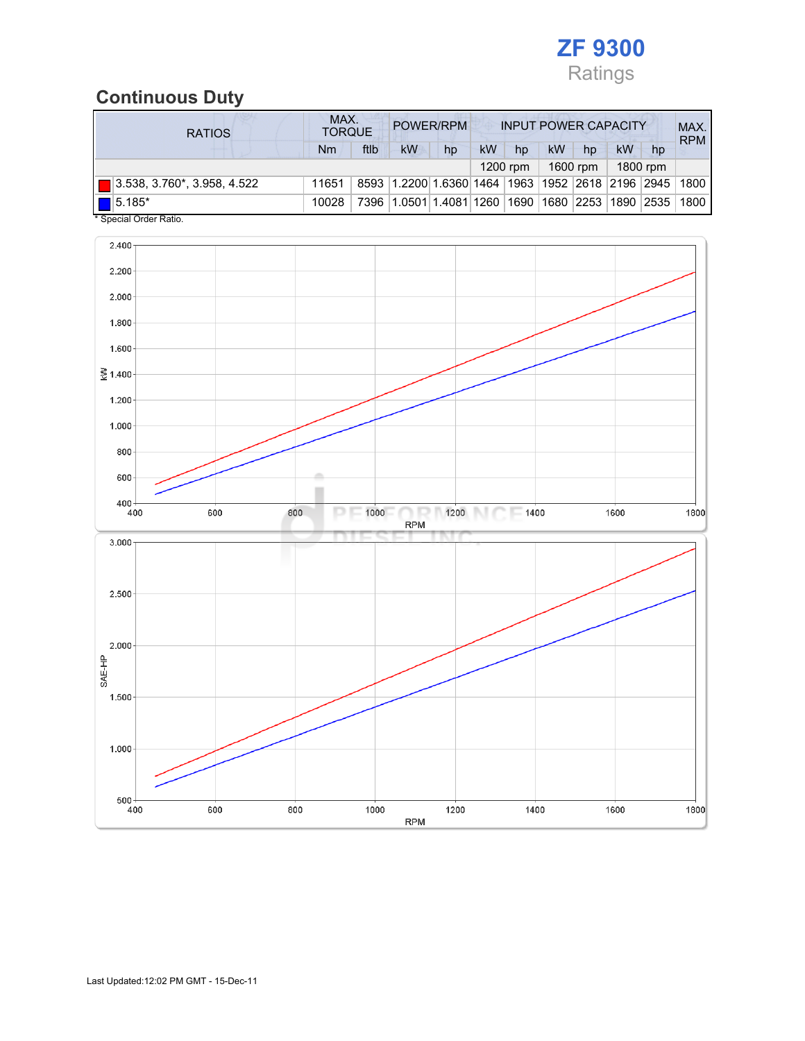

# Continuous Duty

| <b>RATIOS</b>               | MAX.<br>POWER/RPM<br><b>INPUT POWER CAPACITY</b><br><b>TORQUE</b> |      |                         |                    |           |            |                              |          | MAX.<br><b>RPM</b> |          |      |
|-----------------------------|-------------------------------------------------------------------|------|-------------------------|--------------------|-----------|------------|------------------------------|----------|--------------------|----------|------|
|                             | Nm                                                                | ftlb | kW                      | hp                 | <b>kW</b> | hp         | kW                           | hp       | kW                 | hp       |      |
|                             |                                                                   |      |                         |                    |           | $1200$ rpm |                              | 1600 rpm |                    | 1800 rpm |      |
| 3.538, 3.760*, 3.958, 4.522 | 11651                                                             |      | 8593 1.2200 1.6360 1464 |                    |           |            | 1963  1952  2618  2196  2945 |          |                    |          | 1800 |
| $15.185*$                   | 10028                                                             | 7396 |                         | 1.0501 1.4081 1260 |           |            | 1690  1680  2253  1890  2535 |          |                    |          | 1800 |

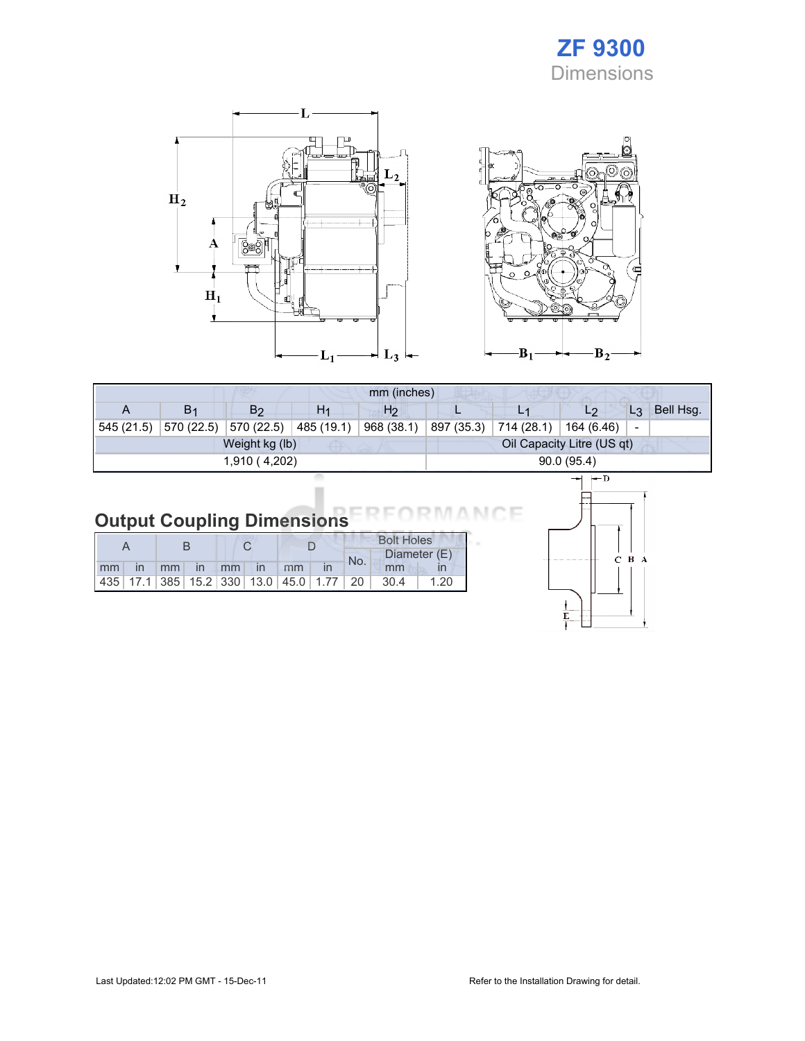# ZF 9300 **Dimensions**





|               |                |                |                | mm (inches)    |                            |                                     |                |                          |           |
|---------------|----------------|----------------|----------------|----------------|----------------------------|-------------------------------------|----------------|--------------------------|-----------|
| A             | B <sub>1</sub> | B <sub>2</sub> | H <sub>1</sub> | H <sub>2</sub> |                            |                                     | L2             | $L_3$                    | Bell Hsg. |
| 545 (21.5)    | 570 (22.5)     | 570 (22.5)     | 485 (19.1)     | 968 (38.1)     | 897 (35.3)                 | $\mid$ 714 (28.1) $\mid$ 164 (6.46) |                | $\overline{\phantom{0}}$ |           |
|               |                | Weight kg (lb) |                |                | Oil Capacity Litre (US qt) |                                     |                |                          |           |
| 1,910 (4,202) |                |                |                |                | 90.0(95.4)                 |                                     |                |                          |           |
|               |                |                |                |                |                            |                                     | $-$ n<br>المحب |                          |           |

#### Output Coupling Dimensions ìΕ

|    |  |             |  |               |                                                         | <b>Bolt Holes</b> |     |      |              |
|----|--|-------------|--|---------------|---------------------------------------------------------|-------------------|-----|------|--------------|
|    |  |             |  |               |                                                         |                   | No. |      | Diameter (E) |
| mm |  | in mm in mm |  | $\mathsf{In}$ | mm                                                      |                   |     | mm   |              |
|    |  |             |  |               | 435   17.1   385   15.2   330   13.0   45.0   1.77   20 |                   |     | 30.4 | 1.20         |